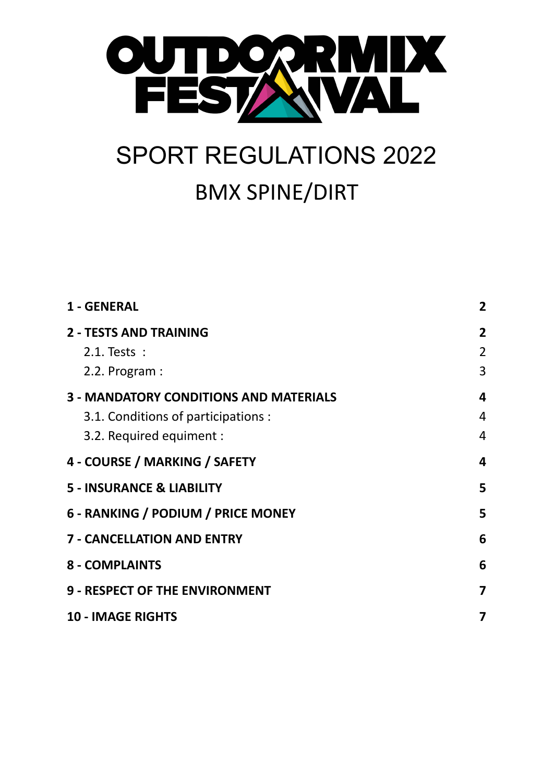

# SPORT REGULATIONS 2022 BMX SPINE/DIRT

| 1 - GENERAL                                   | $\overline{2}$ |
|-----------------------------------------------|----------------|
| <b>2 - TESTS AND TRAINING</b>                 | $\overline{2}$ |
| 2.1. Tests :                                  | $\overline{2}$ |
| 2.2. Program:                                 | 3              |
| <b>3 - MANDATORY CONDITIONS AND MATERIALS</b> | 4              |
| 3.1. Conditions of participations :           | 4              |
| 3.2. Required equiment :                      | 4              |
| 4 - COURSE / MARKING / SAFETY                 | 4              |
| <b>5 - INSURANCE &amp; LIABILITY</b>          | 5              |
| 6 - RANKING / PODIUM / PRICE MONEY            | 5              |
| <b>7 - CANCELLATION AND ENTRY</b>             | 6              |
| <b>8 - COMPLAINTS</b>                         | 6              |
| <b>9 - RESPECT OF THE ENVIRONMENT</b>         | 7              |
| <b>10 - IMAGE RIGHTS</b>                      | 7              |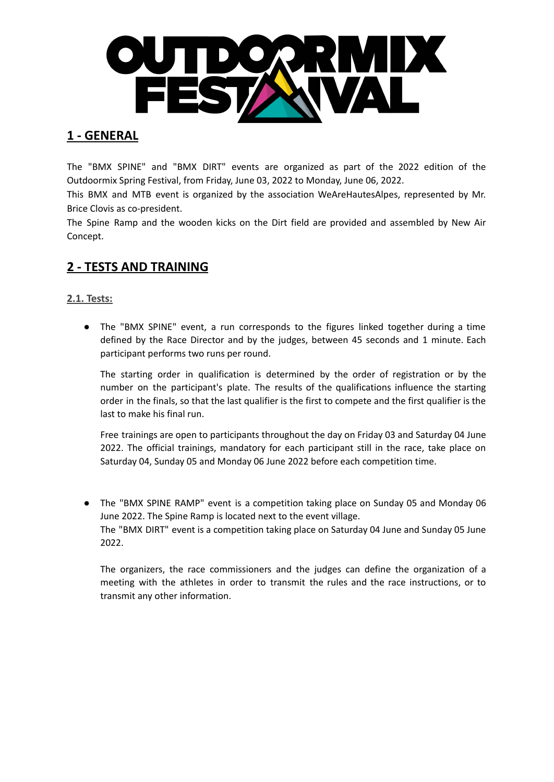

## <span id="page-1-0"></span>**1 - GENERAL**

The "BMX SPINE" and "BMX DIRT" events are organized as part of the 2022 edition of the Outdoormix Spring Festival, from Friday, June 03, 2022 to Monday, June 06, 2022.

This BMX and MTB event is organized by the association WeAreHautesAlpes, represented by Mr. Brice Clovis as co-president.

The Spine Ramp and the wooden kicks on the Dirt field are provided and assembled by New Air Concept.

# <span id="page-1-1"></span>**2 - TESTS AND TRAINING**

#### <span id="page-1-2"></span>**2.1. Tests:**

● The "BMX SPINE" event, a run corresponds to the figures linked together during a time defined by the Race Director and by the judges, between 45 seconds and 1 minute. Each participant performs two runs per round.

The starting order in qualification is determined by the order of registration or by the number on the participant's plate. The results of the qualifications influence the starting order in the finals, so that the last qualifier is the first to compete and the first qualifier is the last to make his final run.

Free trainings are open to participants throughout the day on Friday 03 and Saturday 04 June 2022. The official trainings, mandatory for each participant still in the race, take place on Saturday 04, Sunday 05 and Monday 06 June 2022 before each competition time.

● The "BMX SPINE RAMP" event is a competition taking place on Sunday 05 and Monday 06 June 2022. The Spine Ramp is located next to the event village. The "BMX DIRT" event is a competition taking place on Saturday 04 June and Sunday 05 June 2022.

The organizers, the race commissioners and the judges can define the organization of a meeting with the athletes in order to transmit the rules and the race instructions, or to transmit any other information.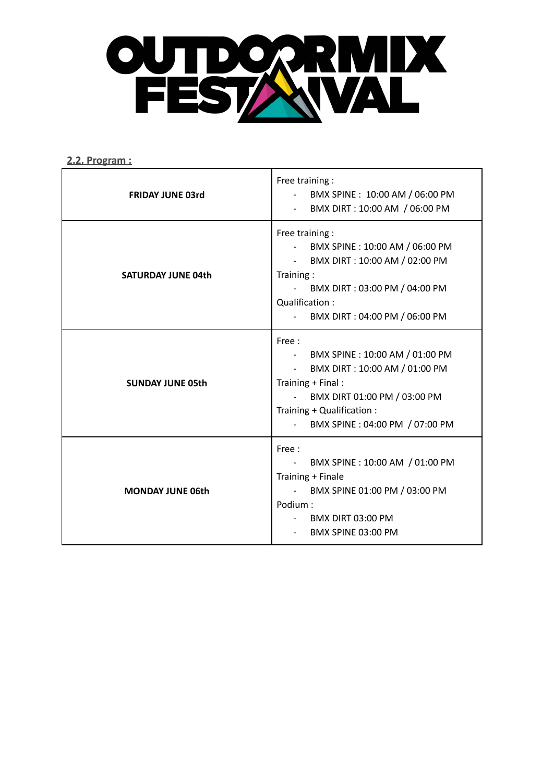

<span id="page-2-0"></span>**2.2. Program :**

| <b>FRIDAY JUNE 03rd</b>   | Free training :<br>- BMX SPINE: 10:00 AM / 06:00 PM<br>BMX DIRT : 10:00 AM / 06:00 PM                                                                                                                    |
|---------------------------|----------------------------------------------------------------------------------------------------------------------------------------------------------------------------------------------------------|
| <b>SATURDAY JUNE 04th</b> | Free training :<br>- BMX SPINE: 10:00 AM / 06:00 PM<br>- BMX DIRT : 10:00 AM / 02:00 PM<br>Training:<br>- BMX DIRT : 03:00 PM / 04:00 PM<br>Qualification:<br>- BMX DIRT: 04:00 PM / 06:00 PM            |
| <b>SUNDAY JUNE 05th</b>   | Free:<br>- BMX SPINE : 10:00 AM / 01:00 PM<br>- BMX DIRT : 10:00 AM / 01:00 PM<br>Training + Final:<br>- BMX DIRT 01:00 PM / 03:00 PM<br>Training + Qualification :<br>- BMX SPINE : 04:00 PM / 07:00 PM |
| <b>MONDAY JUNE 06th</b>   | Free:<br>BMX SPINE : 10:00 AM / 01:00 PM<br>$\sim$<br>Training + Finale<br>- BMX SPINE 01:00 PM / 03:00 PM<br>Podium:<br>- BMX DIRT 03:00 PM<br>BMX SPINE 03:00 PM                                       |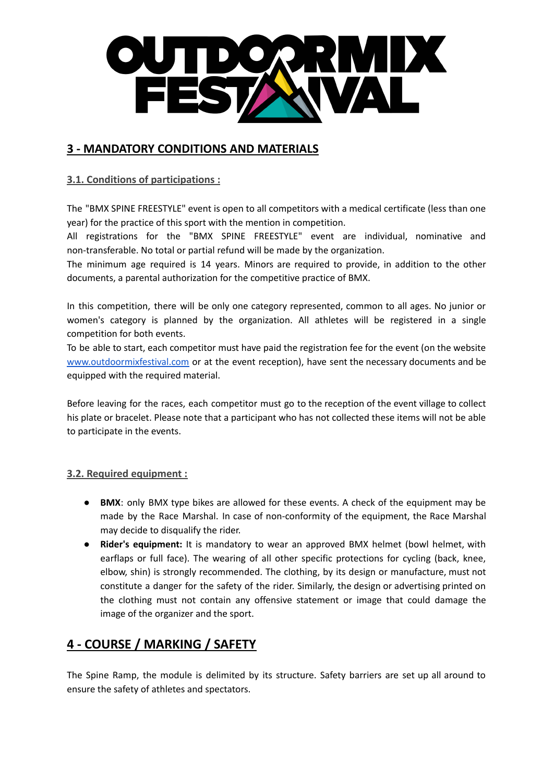

#### <span id="page-3-0"></span>**3 - MANDATORY CONDITIONS AND MATERIALS**

#### <span id="page-3-1"></span>**3.1. Conditions of participations :**

The "BMX SPINE FREESTYLE" event is open to all competitors with a medical certificate (less than one year) for the practice of this sport with the mention in competition.

All registrations for the "BMX SPINE FREESTYLE" event are individual, nominative and non-transferable. No total or partial refund will be made by the organization.

The minimum age required is 14 years. Minors are required to provide, in addition to the other documents, a parental authorization for the competitive practice of BMX.

In this competition, there will be only one category represented, common to all ages. No junior or women's category is planned by the organization. All athletes will be registered in a single competition for both events.

To be able to start, each competitor must have paid the registration fee for the event (on the website [www.outdoormixfestival.com](http://www.outdoormixfestival.com) or at the event reception), have sent the necessary documents and be equipped with the required material.

Before leaving for the races, each competitor must go to the reception of the event village to collect his plate or bracelet. Please note that a participant who has not collected these items will not be able to participate in the events.

#### <span id="page-3-2"></span>**3.2. Required equipment :**

- **BMX**: only BMX type bikes are allowed for these events. A check of the equipment may be made by the Race Marshal. In case of non-conformity of the equipment, the Race Marshal may decide to disqualify the rider.
- **Rider's equipment:** It is mandatory to wear an approved BMX helmet (bowl helmet, with earflaps or full face). The wearing of all other specific protections for cycling (back, knee, elbow, shin) is strongly recommended. The clothing, by its design or manufacture, must not constitute a danger for the safety of the rider. Similarly, the design or advertising printed on the clothing must not contain any offensive statement or image that could damage the image of the organizer and the sport.

# <span id="page-3-3"></span>**4 - COURSE / MARKING / SAFETY**

The Spine Ramp, the module is delimited by its structure. Safety barriers are set up all around to ensure the safety of athletes and spectators.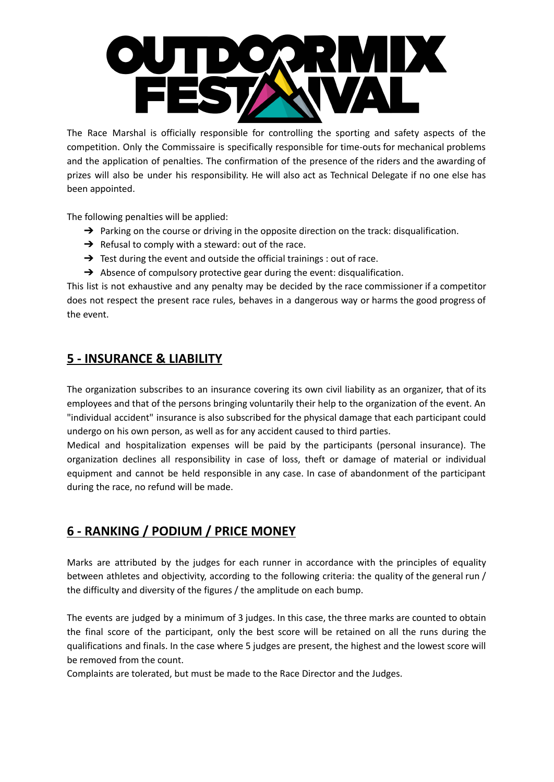

The Race Marshal is officially responsible for controlling the sporting and safety aspects of the competition. Only the Commissaire is specifically responsible for time-outs for mechanical problems and the application of penalties. The confirmation of the presence of the riders and the awarding of prizes will also be under his responsibility. He will also act as Technical Delegate if no one else has been appointed.

The following penalties will be applied:

- → Parking on the course or driving in the opposite direction on the track: disqualification.
- $\rightarrow$  Refusal to comply with a steward: out of the race.
- → Test during the event and outside the official trainings : out of race.
- $\rightarrow$  Absence of compulsory protective gear during the event: disqualification.

This list is not exhaustive and any penalty may be decided by the race commissioner if a competitor does not respect the present race rules, behaves in a dangerous way or harms the good progress of the event.

### <span id="page-4-0"></span>**5 - INSURANCE & LIABILITY**

The organization subscribes to an insurance covering its own civil liability as an organizer, that of its employees and that of the persons bringing voluntarily their help to the organization of the event. An "individual accident" insurance is also subscribed for the physical damage that each participant could undergo on his own person, as well as for any accident caused to third parties.

Medical and hospitalization expenses will be paid by the participants (personal insurance). The organization declines all responsibility in case of loss, theft or damage of material or individual equipment and cannot be held responsible in any case. In case of abandonment of the participant during the race, no refund will be made.

# <span id="page-4-1"></span>**6 - RANKING / PODIUM / PRICE MONEY**

Marks are attributed by the judges for each runner in accordance with the principles of equality between athletes and objectivity, according to the following criteria: the quality of the general run / the difficulty and diversity of the figures / the amplitude on each bump.

The events are judged by a minimum of 3 judges. In this case, the three marks are counted to obtain the final score of the participant, only the best score will be retained on all the runs during the qualifications and finals. In the case where 5 judges are present, the highest and the lowest score will be removed from the count.

Complaints are tolerated, but must be made to the Race Director and the Judges.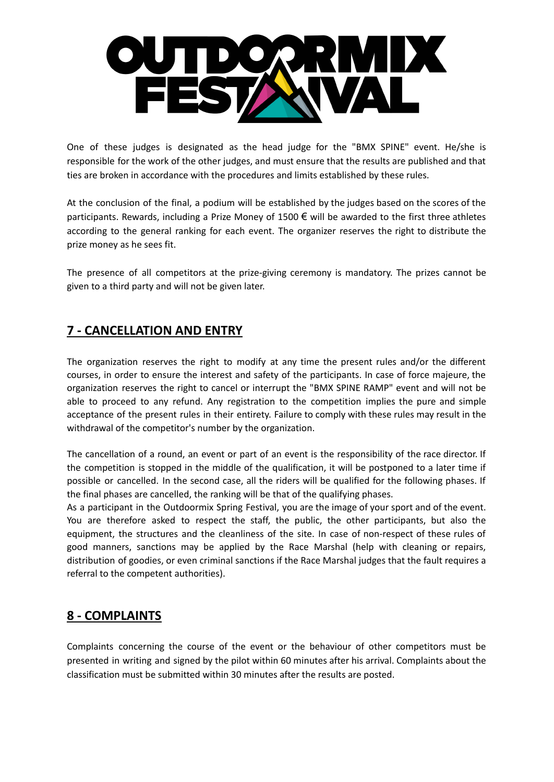

One of these judges is designated as the head judge for the "BMX SPINE" event. He/she is responsible for the work of the other judges, and must ensure that the results are published and that ties are broken in accordance with the procedures and limits established by these rules.

At the conclusion of the final, a podium will be established by the judges based on the scores of the participants. Rewards, including a Prize Money of 1500 € will be awarded to the first three athletes according to the general ranking for each event. The organizer reserves the right to distribute the prize money as he sees fit.

The presence of all competitors at the prize-giving ceremony is mandatory. The prizes cannot be given to a third party and will not be given later.

# <span id="page-5-0"></span>**7 - CANCELLATION AND ENTRY**

The organization reserves the right to modify at any time the present rules and/or the different courses, in order to ensure the interest and safety of the participants. In case of force majeure, the organization reserves the right to cancel or interrupt the "BMX SPINE RAMP" event and will not be able to proceed to any refund. Any registration to the competition implies the pure and simple acceptance of the present rules in their entirety. Failure to comply with these rules may result in the withdrawal of the competitor's number by the organization.

The cancellation of a round, an event or part of an event is the responsibility of the race director. If the competition is stopped in the middle of the qualification, it will be postponed to a later time if possible or cancelled. In the second case, all the riders will be qualified for the following phases. If the final phases are cancelled, the ranking will be that of the qualifying phases.

As a participant in the Outdoormix Spring Festival, you are the image of your sport and of the event. You are therefore asked to respect the staff, the public, the other participants, but also the equipment, the structures and the cleanliness of the site. In case of non-respect of these rules of good manners, sanctions may be applied by the Race Marshal (help with cleaning or repairs, distribution of goodies, or even criminal sanctions if the Race Marshal judges that the fault requires a referral to the competent authorities).

# <span id="page-5-1"></span>**8 - COMPLAINTS**

Complaints concerning the course of the event or the behaviour of other competitors must be presented in writing and signed by the pilot within 60 minutes after his arrival. Complaints about the classification must be submitted within 30 minutes after the results are posted.